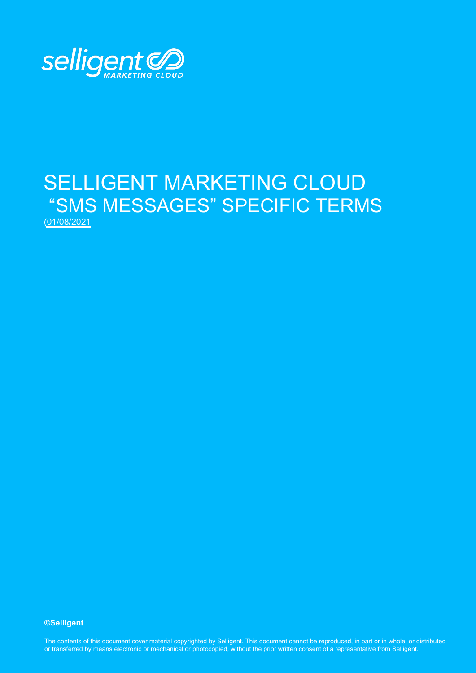

# SELLIGENT MARKETING CLOUD "SMS MESSAGES" SPECIFIC TERMS (01/08/2021

#### **©Selligent**

The contents of this document cover material copyrighted by Selligent. This document cannot be reproduced, in part or in whole, or distributed or transferred by means electronic or mechanical or photocopied, without the prior written consent of a representative from Selligent.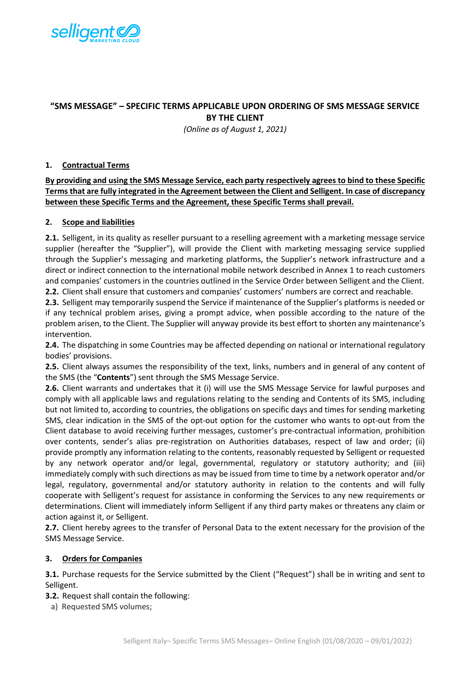

## **"SMS MESSAGE" – SPECIFIC TERMS APPLICABLE UPON ORDERING OF SMS MESSAGE SERVICE BY THE CLIENT**

*(Online as of August 1, 2021)*

#### **1. Contractual Terms**

**By providing and using the SMS Message Service, each party respectively agrees to bind to these Specific Terms that are fully integrated in the Agreement between the Client and Selligent. In case of discrepancy between these Specific Terms and the Agreement, these Specific Terms shall prevail.** 

### **2. Scope and liabilities**

**2.1.** Selligent, in its quality as reseller pursuant to a reselling agreement with a marketing message service supplier (hereafter the "Supplier"), will provide the Client with marketing messaging service supplied through the Supplier's messaging and marketing platforms, the Supplier's network infrastructure and a direct or indirect connection to the international mobile network described in Annex 1 to reach customers and companies' customers in the countries outlined in the Service Order between Selligent and the Client. **2.2.** Client shall ensure that customers and companies' customers' numbers are correct and reachable.

**2.3.** Selligent may temporarily suspend the Service if maintenance of the Supplier's platforms is needed or if any technical problem arises, giving a prompt advice, when possible according to the nature of the problem arisen, to the Client. The Supplier will anyway provide its best effort to shorten any maintenance's intervention.

**2.4.** The dispatching in some Countries may be affected depending on national or international regulatory bodies' provisions.

**2.5.** Client always assumes the responsibility of the text, links, numbers and in general of any content of the SMS (the "**Contents**") sent through the SMS Message Service.

**2.6.** Client warrants and undertakes that it (i) will use the SMS Message Service for lawful purposes and comply with all applicable laws and regulations relating to the sending and Contents of its SMS, including but not limited to, according to countries, the obligations on specific days and times for sending marketing SMS, clear indication in the SMS of the opt-out option for the customer who wants to opt-out from the Client database to avoid receiving further messages, customer's pre-contractual information, prohibition over contents, sender's alias pre-registration on Authorities databases, respect of law and order; (ii) provide promptly any information relating to the contents, reasonably requested by Selligent or requested by any network operator and/or legal, governmental, regulatory or statutory authority; and (iii) immediately comply with such directions as may be issued from time to time by a network operator and/or legal, regulatory, governmental and/or statutory authority in relation to the contents and will fully cooperate with Selligent's request for assistance in conforming the Services to any new requirements or determinations. Client will immediately inform Selligent if any third party makes or threatens any claim or action against it, or Selligent.

**2.7.** Client hereby agrees to the transfer of Personal Data to the extent necessary for the provision of the SMS Message Service.

#### **3. Orders for Companies**

**3.1.** Purchase requests for the Service submitted by the Client ("Request") shall be in writing and sent to Selligent.

- **3.2.** Request shall contain the following:
	- a) Requested SMS volumes;